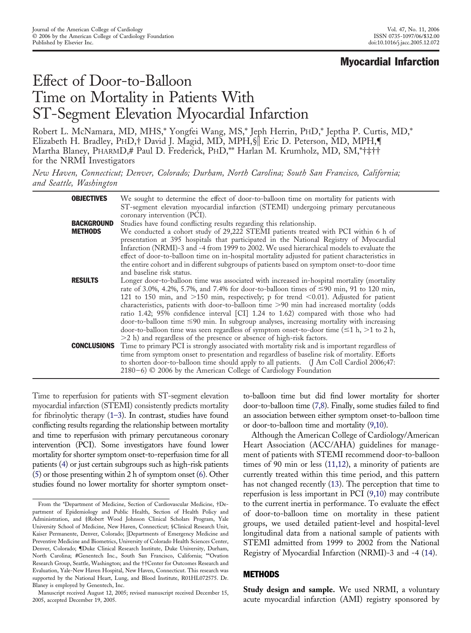## Myocardial Infarction

# Effect of Door-to-Balloon Time on Mortality in Patients With ST-Segment Elevation Myocardial Infarction

Robert L. McNamara, MD, MHS,\* Yongfei Wang, MS,\* Jeph Herrin, PHD,\* Jeptha P. Curtis, MD,\* Elizabeth H. Bradley, PHD,† David J. Magid, MD, MPH, S|| Eric D. Peterson, MD, MPH,¶ Martha Blaney, PHARMD,# Paul D. Frederick, PHD,\*\* Harlan M. Krumholz, MD, SM,\*†‡†† for the NRMI Investigators

*New Haven, Connecticut; Denver, Colorado; Durham, North Carolina; South San Francisco, California; and Seattle, Washington*

| <b>OBJECTIVES</b>                   | We sought to determine the effect of door-to-balloon time on mortality for patients with<br>ST-segment elevation myocardial infarction (STEMI) undergoing primary percutaneous                                                                                                                                                                                                                                                                                                                                                                                                                                                                                                                                                                           |
|-------------------------------------|----------------------------------------------------------------------------------------------------------------------------------------------------------------------------------------------------------------------------------------------------------------------------------------------------------------------------------------------------------------------------------------------------------------------------------------------------------------------------------------------------------------------------------------------------------------------------------------------------------------------------------------------------------------------------------------------------------------------------------------------------------|
| <b>BACKGROUND</b><br><b>METHODS</b> | coronary intervention (PCI).<br>Studies have found conflicting results regarding this relationship.<br>We conducted a cohort study of 29,222 STEMI patients treated with PCI within 6 h of<br>presentation at 395 hospitals that participated in the National Registry of Myocardial<br>Infarction (NRMI)-3 and -4 from 1999 to 2002. We used hierarchical models to evaluate the                                                                                                                                                                                                                                                                                                                                                                        |
| <b>RESULTS</b>                      | effect of door-to-balloon time on in-hospital mortality adjusted for patient characteristics in<br>the entire cohort and in different subgroups of patients based on symptom onset-to-door time<br>and baseline risk status.<br>Longer door-to-balloon time was associated with increased in-hospital mortality (mortality<br>rate of 3.0%, 4.2%, 5.7%, and 7.4% for door-to-balloon times of $\leq 90$ min, 91 to 120 min,<br>121 to 150 min, and $>150$ min, respectively; p for trend $< 0.01$ ). Adjusted for patient<br>characteristics, patients with door-to-balloon time >90 min had increased mortality (odds                                                                                                                                   |
| <b>CONCLUSIONS</b>                  | ratio 1.42; 95% confidence interval [CI] 1.24 to 1.62) compared with those who had<br>$\alpha$ door-to-balloon time $\leq$ 90 min. In subgroup analyses, increasing mortality with increasing<br>door-to-balloon time was seen regardless of symptom onset-to-door time ( $\leq 1$ h, $>1$ to 2 h,<br>$>2$ h) and regardless of the presence or absence of high-risk factors.<br>Time to primary PCI is strongly associated with mortality risk and is important regardless of<br>time from symptom onset to presentation and regardless of baseline risk of mortality. Efforts<br>to shorten door-to-balloon time should apply to all patients. (J Am Coll Cardiol 2006;47:<br>$2180-6$ ) $\odot$ 2006 by the American College of Cardiology Foundation |

Time to reperfusion for patients with ST-segment elevation myocardial infarction (STEMI) consistently predicts mortality for fibrinolytic therapy [\(1–3\)](#page-6-0). In contrast, studies have found conflicting results regarding the relationship between mortality and time to reperfusion with primary percutaneous coronary intervention (PCI). Some investigators have found lower mortality for shorter symptom onset-to-reperfusion time for all patients [\(4\)](#page-6-0) or just certain subgroups such as high-risk patients [\(5\)](#page-6-0) or those presenting within 2 h of symptom onset [\(6\)](#page-6-0). Other studies found no lower mortality for shorter symptom onsetto-balloon time but did find lower mortality for shorter door-to-balloon time [\(7,8\)](#page-6-0). Finally, some studies failed to find an association between either symptom onset-to-balloon time or door-to-balloon time and mortality [\(9,10\)](#page-6-0).

Although the American College of Cardiology/American Heart Association (ACC/AHA) guidelines for management of patients with STEMI recommend door-to-balloon times of 90 min or less [\(11,12\)](#page-6-0), a minority of patients are currently treated within this time period, and this pattern has not changed recently [\(13\)](#page-6-0). The perception that time to reperfusion is less important in PCI [\(9,10\)](#page-6-0) may contribute to the current inertia in performance. To evaluate the effect of door-to-balloon time on mortality in these patient groups, we used detailed patient-level and hospital-level longitudinal data from a national sample of patients with STEMI admitted from 1999 to 2002 from the National Registry of Myocardial Infarction (NRMI)-3 and -4 [\(14\)](#page-6-0).

## **METHODS**

**Study design and sample.** We used NRMI, a voluntary acute myocardial infarction (AMI) registry sponsored by

From the \*Department of Medicine, Section of Cardiovascular Medicine, †Department of Epidemiology and Public Health, Section of Health Policy and Administration, and ‡Robert Wood Johnson Clinical Scholars Program, Yale University School of Medicine, New Haven, Connecticut; §Clinical Research Unit, Kaiser Permanente, Denver, Colorado; |Departments of Emergency Medicine and Preventive Medicine and Biometrics, University of Colorado Health Sciences Center, Denver, Colorado; ¶Duke Clinical Research Institute, Duke University, Durham, North Carolina; #Genentech Inc., South San Francisco, California; \*\*Ovation Research Group, Seattle, Washington; and the ††Center for Outcomes Research and Evaluation, Yale-New Haven Hospital, New Haven, Connecticut. This research was supported by the National Heart, Lung, and Blood Institute, R01HL072575. Dr. Blaney is employed by Genentech, Inc.

Manuscript received August 12, 2005; revised manuscript received December 15, 2005, accepted December 19, 2005.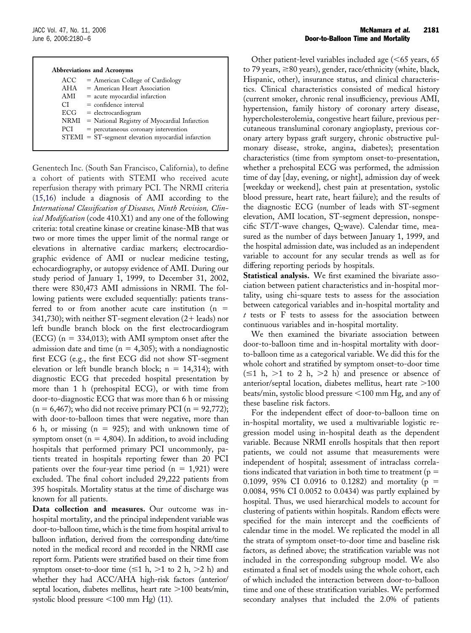|     | <b>Abbreviations and Acronyms</b>                    |
|-----|------------------------------------------------------|
| ACC | $=$ American College of Cardiology                   |
| AHA | $=$ American Heart Association                       |
| AMI | $=$ acute myocardial infarction                      |
| СI  | $=$ confidence interval                              |
| ECG | $=$ electrocardiogram                                |
|     | NRMI = National Registry of Myocardial Infarction    |
| PCI | $=$ percutaneous coronary intervention               |
|     | $STEMI = ST-segment$ elevation myocardial infarction |
|     |                                                      |

Genentech Inc. (South San Francisco, California), to define a cohort of patients with STEMI who received acute reperfusion therapy with primary PCI. The NRMI criteria [\(15,16\)](#page-6-0) include a diagnosis of AMI according to the *International Classification of Diseases, Ninth Revision, Clinical Modification* (code 410.X1) and any one of the following criteria: total creatine kinase or creatine kinase-MB that was two or more times the upper limit of the normal range or elevations in alternative cardiac markers; electrocardiographic evidence of AMI or nuclear medicine testing, echocardiography, or autopsy evidence of AMI. During our study period of January 1, 1999, to December 31, 2002, there were 830,473 AMI admissions in NRMI. The following patients were excluded sequentially: patients transferred to or from another acute care institution  $(n =$ 341,730); with neither ST-segment elevation  $(2 +$  leads) nor left bundle branch block on the first electrocardiogram (ECG) ( $n = 334,013$ ); with AMI symptom onset after the admission date and time ( $n = 4,305$ ); with a nondiagnostic first ECG (e.g., the first ECG did not show ST-segment elevation or left bundle branch block;  $n = 14,314$ ); with diagnostic ECG that preceded hospital presentation by more than 1 h (prehospital ECG), or with time from door-to-diagnostic ECG that was more than 6 h or missing  $(n = 6,467)$ ; who did not receive primary PCI  $(n = 92,772)$ ; with door-to-balloon times that were negative, more than 6 h, or missing  $(n = 925)$ ; and with unknown time of symptom onset ( $n = 4,804$ ). In addition, to avoid including hospitals that performed primary PCI uncommonly, patients treated in hospitals reporting fewer than 20 PCI patients over the four-year time period ( $n = 1,921$ ) were excluded. The final cohort included 29,222 patients from 395 hospitals. Mortality status at the time of discharge was known for all patients.

**Data collection and measures.** Our outcome was inhospital mortality, and the principal independent variable was door-to-balloon time, which is the time from hospital arrival to balloon inflation, derived from the corresponding date/time noted in the medical record and recorded in the NRMI case report form. Patients were stratified based on their time from symptom onset-to-door time ( $\leq 1$  h,  $> 1$  to 2 h,  $> 2$  h) and whether they had ACC/AHA high-risk factors (anterior/ septal location, diabetes mellitus, heart rate  $>$ 100 beats/min, systolic blood pressure  $\leq$ 100 mm Hg) [\(11\)](#page-6-0).

Other patient-level variables included age (<65 years, 65 to 79 years,  $\geq$ 80 years), gender, race/ethnicity (white, black, Hispanic, other), insurance status, and clinical characteristics. Clinical characteristics consisted of medical history (current smoker, chronic renal insufficiency, previous AMI, hypertension, family history of coronary artery disease, hypercholesterolemia, congestive heart failure, previous percutaneous transluminal coronary angioplasty, previous coronary artery bypass graft surgery, chronic obstructive pulmonary disease, stroke, angina, diabetes); presentation characteristics (time from symptom onset-to-presentation, whether a prehospital ECG was performed, the admission time of day [day, evening, or night], admission day of week [weekday or weekend], chest pain at presentation, systolic blood pressure, heart rate, heart failure); and the results of the diagnostic ECG (number of leads with ST-segment elevation, AMI location, ST-segment depression, nonspecific ST/T-wave changes, Q-wave). Calendar time, measured as the number of days between January 1, 1999, and the hospital admission date, was included as an independent variable to account for any secular trends as well as for differing reporting periods by hospitals.

**Statistical analysis.** We first examined the bivariate association between patient characteristics and in-hospital mortality, using chi-square tests to assess for the association between categorical variables and in-hospital mortality and *t* tests or F tests to assess for the association between continuous variables and in-hospital mortality.

We then examined the bivariate association between door-to-balloon time and in-hospital mortality with doorto-balloon time as a categorical variable. We did this for the whole cohort and stratified by symptom onset-to-door time  $(\leq 1$  h,  $> 1$  to 2 h,  $> 2$  h) and presence or absence of anterior/septal location, diabetes mellitus, heart rate  $>100$ beats/min, systolic blood pressure -100 mm Hg, and any of these baseline risk factors.

For the independent effect of door-to-balloon time on in-hospital mortality, we used a multivariable logistic regression model using in-hospital death as the dependent variable. Because NRMI enrolls hospitals that then report patients, we could not assume that measurements were independent of hospital; assessment of intraclass correlations indicated that variation in both time to treatment ( $p =$ 0.1099, 95% CI 0.0916 to 0.1282) and mortality ( $p =$ 0.0084, 95% CI 0.0052 to 0.0434) was partly explained by hospital. Thus, we used hierarchical models to account for clustering of patients within hospitals. Random effects were specified for the main intercept and the coefficients of calendar time in the model. We replicated the model in all the strata of symptom onset-to-door time and baseline risk factors, as defined above; the stratification variable was not included in the corresponding subgroup model. We also estimated a final set of models using the whole cohort, each of which included the interaction between door-to-balloon time and one of these stratification variables. We performed secondary analyses that included the 2.0% of patients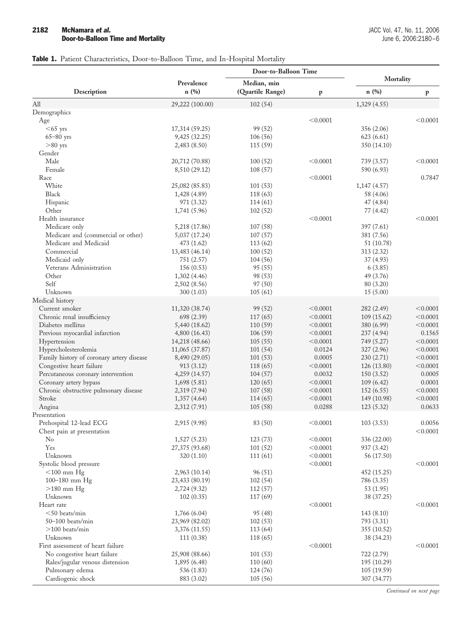### <span id="page-2-0"></span>**2182 McNamara et al.** JACC Vol. 47, No. 11, 2006<br>**Door-to-Balloon Time and Mortality State of the set of the set of the set of the set of the set of the set of the set of the set of the set of the Super-G** Door-to-Balloon Time and Mortality

## Table 1. Patient Characteristics, Door-to-Balloon Time, and In-Hospital Mortality

| Median, min<br>Prevalence<br>n(%)<br>(Quartile Range)<br>n(%)<br>Description<br>$\mathbf{p}$<br>$\mathbf{p}$<br>All<br>29,222 (100.00)<br>102(54)<br>1,329(4.55)<br>Demographics<br>< 0.0001<br>Age<br>99 (52)<br>$<$ 65 yrs<br>17,314 (59.25)<br>356 (2.06)<br>$65 - 80$ yrs<br>9,425 (32.25)<br>623(6.61)<br>106(56)<br>$>80$ yrs<br>2,483 (8.50)<br>115(59)<br>350 (14.10)<br>Gender<br>Male<br>100(52)<br>739 (3.57)<br>20,712 (70.88)<br>< 0.0001<br>Female<br>8,510 (29.12)<br>108(57)<br>590 (6.93)<br>Race<br>< 0.0001<br>White<br>101(53)<br>$1,147$ (4.57)<br>25,082 (85.83)<br>Black<br>1,428 (4.89)<br>118 (63)<br>58 (4.06)<br>Hispanic<br>971 (3.32)<br>114(61)<br>47 (4.84)<br>Other<br>1,741 (5.96)<br>102(52)<br>77 (4.42)<br>Health insurance<br>< 0.0001<br>< 0.0001<br>Medicare only<br>5,218 (17.86)<br>107 (58)<br>397 (7.61)<br>Medicare and (commercial or other)<br>381 (7.56)<br>5,037 (17.24)<br>107(57)<br>Medicare and Medicaid<br>473 (1.62)<br>113(62)<br>51 (10.78)<br>Commercial<br>13,483 (46.14)<br>100(52)<br>313 (2.32)<br>Medicaid only<br>104(56)<br>751 (2.57)<br>37 (4.93)<br>Veterans Administration<br>156(0.53)<br>95(55)<br>6(3.85)<br>Other<br>1,302 (4.46)<br>98 (53)<br>49 (3.76)<br>Self<br>97 (50)<br>2,502 (8.56)<br>80 (3.20)<br>Unknown<br>300(1.03)<br>105(61)<br>15(5.00)<br>Medical history<br>99 (52)<br>< 0.0001<br>282 (2.49)<br>Current smoker<br>11,320 (38.74)<br>117(65)<br>109 (15.62)<br>Chronic renal insufficiency<br>698 (2.39)<br>< 0.0001<br>Diabetes mellitus<br>5,440 (18.62)<br>110(59)<br>< 0.0001<br>380 (6.99)<br>Previous myocardial infarction<br>106(59)<br>< 0.0001<br>237 (4.94)<br>4,800 (16.43)<br>105(55)<br>Hypertension<br>14,218 (48.66)<br>< 0.0001<br>749 (5.27)<br>Hypercholesterolemia<br>101(54)<br>0.0124<br>327 (2.96)<br>11,065 (37.87)<br>Family history of coronary artery disease<br>101(53)<br>0.0005<br>230 (2.71)<br>8,490 (29.05)<br>Congestive heart failure<br>913(3.12)<br>118 (65)<br>< 0.0001<br>126 (13.80)<br>Percutaneous coronary intervention<br>104(57)<br>0.0032<br>150(3.52)<br>4,259 (14.57)<br>120(65)<br>< 0.0001<br>109(6.42)<br>Coronary artery bypass<br>1,698(5.81)<br>Chronic obstructive pulmonary disease<br>2,319(7.94)<br>107(58)<br>< 0.0001<br>152(6.55)<br>Stroke<br>114(65)<br>< 0.0001<br>149 (10.98)<br>1,357(4.64)<br>105 (58)<br>0.0288<br>Angina<br>2,312(7.91)<br>123(5.32)<br>Presentation<br>Prehospital 12-lead ECG<br>2,915 (9.98)<br>83 (50)<br>< 0.0001<br>103(3.53)<br>0.0056<br>< 0.0001<br>Chest pain at presentation<br>1,527(5.23)<br>No<br>123 (73)<br>< 0.0001<br>336 (22.00)<br>Yes<br>27,375 (93.68)<br>101(52)<br>< 0.0001<br>937 (3.42)<br>Unknown<br>< 0.0001<br>320(1.10)<br>111(61)<br>56 (17.50)<br>Systolic blood pressure<br>< 0.0001 |  | Door-to-Balloon Time |           |          |
|-------------------------------------------------------------------------------------------------------------------------------------------------------------------------------------------------------------------------------------------------------------------------------------------------------------------------------------------------------------------------------------------------------------------------------------------------------------------------------------------------------------------------------------------------------------------------------------------------------------------------------------------------------------------------------------------------------------------------------------------------------------------------------------------------------------------------------------------------------------------------------------------------------------------------------------------------------------------------------------------------------------------------------------------------------------------------------------------------------------------------------------------------------------------------------------------------------------------------------------------------------------------------------------------------------------------------------------------------------------------------------------------------------------------------------------------------------------------------------------------------------------------------------------------------------------------------------------------------------------------------------------------------------------------------------------------------------------------------------------------------------------------------------------------------------------------------------------------------------------------------------------------------------------------------------------------------------------------------------------------------------------------------------------------------------------------------------------------------------------------------------------------------------------------------------------------------------------------------------------------------------------------------------------------------------------------------------------------------------------------------------------------------------------------------------------------------------------------------------------------------------------------------------------------------------------------------------------------------------------------------------------------------------------------------------------------------------------------------------------------------------------------------------------------------------|--|----------------------|-----------|----------|
|                                                                                                                                                                                                                                                                                                                                                                                                                                                                                                                                                                                                                                                                                                                                                                                                                                                                                                                                                                                                                                                                                                                                                                                                                                                                                                                                                                                                                                                                                                                                                                                                                                                                                                                                                                                                                                                                                                                                                                                                                                                                                                                                                                                                                                                                                                                                                                                                                                                                                                                                                                                                                                                                                                                                                                                                       |  |                      | Mortality |          |
|                                                                                                                                                                                                                                                                                                                                                                                                                                                                                                                                                                                                                                                                                                                                                                                                                                                                                                                                                                                                                                                                                                                                                                                                                                                                                                                                                                                                                                                                                                                                                                                                                                                                                                                                                                                                                                                                                                                                                                                                                                                                                                                                                                                                                                                                                                                                                                                                                                                                                                                                                                                                                                                                                                                                                                                                       |  |                      |           |          |
|                                                                                                                                                                                                                                                                                                                                                                                                                                                                                                                                                                                                                                                                                                                                                                                                                                                                                                                                                                                                                                                                                                                                                                                                                                                                                                                                                                                                                                                                                                                                                                                                                                                                                                                                                                                                                                                                                                                                                                                                                                                                                                                                                                                                                                                                                                                                                                                                                                                                                                                                                                                                                                                                                                                                                                                                       |  |                      |           |          |
|                                                                                                                                                                                                                                                                                                                                                                                                                                                                                                                                                                                                                                                                                                                                                                                                                                                                                                                                                                                                                                                                                                                                                                                                                                                                                                                                                                                                                                                                                                                                                                                                                                                                                                                                                                                                                                                                                                                                                                                                                                                                                                                                                                                                                                                                                                                                                                                                                                                                                                                                                                                                                                                                                                                                                                                                       |  |                      |           | < 0.0001 |
|                                                                                                                                                                                                                                                                                                                                                                                                                                                                                                                                                                                                                                                                                                                                                                                                                                                                                                                                                                                                                                                                                                                                                                                                                                                                                                                                                                                                                                                                                                                                                                                                                                                                                                                                                                                                                                                                                                                                                                                                                                                                                                                                                                                                                                                                                                                                                                                                                                                                                                                                                                                                                                                                                                                                                                                                       |  |                      |           |          |
|                                                                                                                                                                                                                                                                                                                                                                                                                                                                                                                                                                                                                                                                                                                                                                                                                                                                                                                                                                                                                                                                                                                                                                                                                                                                                                                                                                                                                                                                                                                                                                                                                                                                                                                                                                                                                                                                                                                                                                                                                                                                                                                                                                                                                                                                                                                                                                                                                                                                                                                                                                                                                                                                                                                                                                                                       |  |                      |           |          |
|                                                                                                                                                                                                                                                                                                                                                                                                                                                                                                                                                                                                                                                                                                                                                                                                                                                                                                                                                                                                                                                                                                                                                                                                                                                                                                                                                                                                                                                                                                                                                                                                                                                                                                                                                                                                                                                                                                                                                                                                                                                                                                                                                                                                                                                                                                                                                                                                                                                                                                                                                                                                                                                                                                                                                                                                       |  |                      |           |          |
|                                                                                                                                                                                                                                                                                                                                                                                                                                                                                                                                                                                                                                                                                                                                                                                                                                                                                                                                                                                                                                                                                                                                                                                                                                                                                                                                                                                                                                                                                                                                                                                                                                                                                                                                                                                                                                                                                                                                                                                                                                                                                                                                                                                                                                                                                                                                                                                                                                                                                                                                                                                                                                                                                                                                                                                                       |  |                      |           |          |
|                                                                                                                                                                                                                                                                                                                                                                                                                                                                                                                                                                                                                                                                                                                                                                                                                                                                                                                                                                                                                                                                                                                                                                                                                                                                                                                                                                                                                                                                                                                                                                                                                                                                                                                                                                                                                                                                                                                                                                                                                                                                                                                                                                                                                                                                                                                                                                                                                                                                                                                                                                                                                                                                                                                                                                                                       |  |                      |           | < 0.0001 |
|                                                                                                                                                                                                                                                                                                                                                                                                                                                                                                                                                                                                                                                                                                                                                                                                                                                                                                                                                                                                                                                                                                                                                                                                                                                                                                                                                                                                                                                                                                                                                                                                                                                                                                                                                                                                                                                                                                                                                                                                                                                                                                                                                                                                                                                                                                                                                                                                                                                                                                                                                                                                                                                                                                                                                                                                       |  |                      |           |          |
|                                                                                                                                                                                                                                                                                                                                                                                                                                                                                                                                                                                                                                                                                                                                                                                                                                                                                                                                                                                                                                                                                                                                                                                                                                                                                                                                                                                                                                                                                                                                                                                                                                                                                                                                                                                                                                                                                                                                                                                                                                                                                                                                                                                                                                                                                                                                                                                                                                                                                                                                                                                                                                                                                                                                                                                                       |  |                      |           | 0.7847   |
|                                                                                                                                                                                                                                                                                                                                                                                                                                                                                                                                                                                                                                                                                                                                                                                                                                                                                                                                                                                                                                                                                                                                                                                                                                                                                                                                                                                                                                                                                                                                                                                                                                                                                                                                                                                                                                                                                                                                                                                                                                                                                                                                                                                                                                                                                                                                                                                                                                                                                                                                                                                                                                                                                                                                                                                                       |  |                      |           |          |
|                                                                                                                                                                                                                                                                                                                                                                                                                                                                                                                                                                                                                                                                                                                                                                                                                                                                                                                                                                                                                                                                                                                                                                                                                                                                                                                                                                                                                                                                                                                                                                                                                                                                                                                                                                                                                                                                                                                                                                                                                                                                                                                                                                                                                                                                                                                                                                                                                                                                                                                                                                                                                                                                                                                                                                                                       |  |                      |           |          |
|                                                                                                                                                                                                                                                                                                                                                                                                                                                                                                                                                                                                                                                                                                                                                                                                                                                                                                                                                                                                                                                                                                                                                                                                                                                                                                                                                                                                                                                                                                                                                                                                                                                                                                                                                                                                                                                                                                                                                                                                                                                                                                                                                                                                                                                                                                                                                                                                                                                                                                                                                                                                                                                                                                                                                                                                       |  |                      |           |          |
|                                                                                                                                                                                                                                                                                                                                                                                                                                                                                                                                                                                                                                                                                                                                                                                                                                                                                                                                                                                                                                                                                                                                                                                                                                                                                                                                                                                                                                                                                                                                                                                                                                                                                                                                                                                                                                                                                                                                                                                                                                                                                                                                                                                                                                                                                                                                                                                                                                                                                                                                                                                                                                                                                                                                                                                                       |  |                      |           |          |
|                                                                                                                                                                                                                                                                                                                                                                                                                                                                                                                                                                                                                                                                                                                                                                                                                                                                                                                                                                                                                                                                                                                                                                                                                                                                                                                                                                                                                                                                                                                                                                                                                                                                                                                                                                                                                                                                                                                                                                                                                                                                                                                                                                                                                                                                                                                                                                                                                                                                                                                                                                                                                                                                                                                                                                                                       |  |                      |           |          |
|                                                                                                                                                                                                                                                                                                                                                                                                                                                                                                                                                                                                                                                                                                                                                                                                                                                                                                                                                                                                                                                                                                                                                                                                                                                                                                                                                                                                                                                                                                                                                                                                                                                                                                                                                                                                                                                                                                                                                                                                                                                                                                                                                                                                                                                                                                                                                                                                                                                                                                                                                                                                                                                                                                                                                                                                       |  |                      |           |          |
|                                                                                                                                                                                                                                                                                                                                                                                                                                                                                                                                                                                                                                                                                                                                                                                                                                                                                                                                                                                                                                                                                                                                                                                                                                                                                                                                                                                                                                                                                                                                                                                                                                                                                                                                                                                                                                                                                                                                                                                                                                                                                                                                                                                                                                                                                                                                                                                                                                                                                                                                                                                                                                                                                                                                                                                                       |  |                      |           |          |
|                                                                                                                                                                                                                                                                                                                                                                                                                                                                                                                                                                                                                                                                                                                                                                                                                                                                                                                                                                                                                                                                                                                                                                                                                                                                                                                                                                                                                                                                                                                                                                                                                                                                                                                                                                                                                                                                                                                                                                                                                                                                                                                                                                                                                                                                                                                                                                                                                                                                                                                                                                                                                                                                                                                                                                                                       |  |                      |           |          |
|                                                                                                                                                                                                                                                                                                                                                                                                                                                                                                                                                                                                                                                                                                                                                                                                                                                                                                                                                                                                                                                                                                                                                                                                                                                                                                                                                                                                                                                                                                                                                                                                                                                                                                                                                                                                                                                                                                                                                                                                                                                                                                                                                                                                                                                                                                                                                                                                                                                                                                                                                                                                                                                                                                                                                                                                       |  |                      |           |          |
|                                                                                                                                                                                                                                                                                                                                                                                                                                                                                                                                                                                                                                                                                                                                                                                                                                                                                                                                                                                                                                                                                                                                                                                                                                                                                                                                                                                                                                                                                                                                                                                                                                                                                                                                                                                                                                                                                                                                                                                                                                                                                                                                                                                                                                                                                                                                                                                                                                                                                                                                                                                                                                                                                                                                                                                                       |  |                      |           |          |
|                                                                                                                                                                                                                                                                                                                                                                                                                                                                                                                                                                                                                                                                                                                                                                                                                                                                                                                                                                                                                                                                                                                                                                                                                                                                                                                                                                                                                                                                                                                                                                                                                                                                                                                                                                                                                                                                                                                                                                                                                                                                                                                                                                                                                                                                                                                                                                                                                                                                                                                                                                                                                                                                                                                                                                                                       |  |                      |           |          |
|                                                                                                                                                                                                                                                                                                                                                                                                                                                                                                                                                                                                                                                                                                                                                                                                                                                                                                                                                                                                                                                                                                                                                                                                                                                                                                                                                                                                                                                                                                                                                                                                                                                                                                                                                                                                                                                                                                                                                                                                                                                                                                                                                                                                                                                                                                                                                                                                                                                                                                                                                                                                                                                                                                                                                                                                       |  |                      |           |          |
|                                                                                                                                                                                                                                                                                                                                                                                                                                                                                                                                                                                                                                                                                                                                                                                                                                                                                                                                                                                                                                                                                                                                                                                                                                                                                                                                                                                                                                                                                                                                                                                                                                                                                                                                                                                                                                                                                                                                                                                                                                                                                                                                                                                                                                                                                                                                                                                                                                                                                                                                                                                                                                                                                                                                                                                                       |  |                      |           |          |
|                                                                                                                                                                                                                                                                                                                                                                                                                                                                                                                                                                                                                                                                                                                                                                                                                                                                                                                                                                                                                                                                                                                                                                                                                                                                                                                                                                                                                                                                                                                                                                                                                                                                                                                                                                                                                                                                                                                                                                                                                                                                                                                                                                                                                                                                                                                                                                                                                                                                                                                                                                                                                                                                                                                                                                                                       |  |                      |           |          |
|                                                                                                                                                                                                                                                                                                                                                                                                                                                                                                                                                                                                                                                                                                                                                                                                                                                                                                                                                                                                                                                                                                                                                                                                                                                                                                                                                                                                                                                                                                                                                                                                                                                                                                                                                                                                                                                                                                                                                                                                                                                                                                                                                                                                                                                                                                                                                                                                                                                                                                                                                                                                                                                                                                                                                                                                       |  |                      |           | < 0.0001 |
|                                                                                                                                                                                                                                                                                                                                                                                                                                                                                                                                                                                                                                                                                                                                                                                                                                                                                                                                                                                                                                                                                                                                                                                                                                                                                                                                                                                                                                                                                                                                                                                                                                                                                                                                                                                                                                                                                                                                                                                                                                                                                                                                                                                                                                                                                                                                                                                                                                                                                                                                                                                                                                                                                                                                                                                                       |  |                      |           | < 0.0001 |
|                                                                                                                                                                                                                                                                                                                                                                                                                                                                                                                                                                                                                                                                                                                                                                                                                                                                                                                                                                                                                                                                                                                                                                                                                                                                                                                                                                                                                                                                                                                                                                                                                                                                                                                                                                                                                                                                                                                                                                                                                                                                                                                                                                                                                                                                                                                                                                                                                                                                                                                                                                                                                                                                                                                                                                                                       |  |                      |           | < 0.0001 |
|                                                                                                                                                                                                                                                                                                                                                                                                                                                                                                                                                                                                                                                                                                                                                                                                                                                                                                                                                                                                                                                                                                                                                                                                                                                                                                                                                                                                                                                                                                                                                                                                                                                                                                                                                                                                                                                                                                                                                                                                                                                                                                                                                                                                                                                                                                                                                                                                                                                                                                                                                                                                                                                                                                                                                                                                       |  |                      |           | 0.1565   |
|                                                                                                                                                                                                                                                                                                                                                                                                                                                                                                                                                                                                                                                                                                                                                                                                                                                                                                                                                                                                                                                                                                                                                                                                                                                                                                                                                                                                                                                                                                                                                                                                                                                                                                                                                                                                                                                                                                                                                                                                                                                                                                                                                                                                                                                                                                                                                                                                                                                                                                                                                                                                                                                                                                                                                                                                       |  |                      |           | < 0.0001 |
|                                                                                                                                                                                                                                                                                                                                                                                                                                                                                                                                                                                                                                                                                                                                                                                                                                                                                                                                                                                                                                                                                                                                                                                                                                                                                                                                                                                                                                                                                                                                                                                                                                                                                                                                                                                                                                                                                                                                                                                                                                                                                                                                                                                                                                                                                                                                                                                                                                                                                                                                                                                                                                                                                                                                                                                                       |  |                      |           | < 0.0001 |
|                                                                                                                                                                                                                                                                                                                                                                                                                                                                                                                                                                                                                                                                                                                                                                                                                                                                                                                                                                                                                                                                                                                                                                                                                                                                                                                                                                                                                                                                                                                                                                                                                                                                                                                                                                                                                                                                                                                                                                                                                                                                                                                                                                                                                                                                                                                                                                                                                                                                                                                                                                                                                                                                                                                                                                                                       |  |                      |           | < 0.0001 |
|                                                                                                                                                                                                                                                                                                                                                                                                                                                                                                                                                                                                                                                                                                                                                                                                                                                                                                                                                                                                                                                                                                                                                                                                                                                                                                                                                                                                                                                                                                                                                                                                                                                                                                                                                                                                                                                                                                                                                                                                                                                                                                                                                                                                                                                                                                                                                                                                                                                                                                                                                                                                                                                                                                                                                                                                       |  |                      |           | < 0.0001 |
|                                                                                                                                                                                                                                                                                                                                                                                                                                                                                                                                                                                                                                                                                                                                                                                                                                                                                                                                                                                                                                                                                                                                                                                                                                                                                                                                                                                                                                                                                                                                                                                                                                                                                                                                                                                                                                                                                                                                                                                                                                                                                                                                                                                                                                                                                                                                                                                                                                                                                                                                                                                                                                                                                                                                                                                                       |  |                      |           | 0.0005   |
|                                                                                                                                                                                                                                                                                                                                                                                                                                                                                                                                                                                                                                                                                                                                                                                                                                                                                                                                                                                                                                                                                                                                                                                                                                                                                                                                                                                                                                                                                                                                                                                                                                                                                                                                                                                                                                                                                                                                                                                                                                                                                                                                                                                                                                                                                                                                                                                                                                                                                                                                                                                                                                                                                                                                                                                                       |  |                      |           | 0.0001   |
|                                                                                                                                                                                                                                                                                                                                                                                                                                                                                                                                                                                                                                                                                                                                                                                                                                                                                                                                                                                                                                                                                                                                                                                                                                                                                                                                                                                                                                                                                                                                                                                                                                                                                                                                                                                                                                                                                                                                                                                                                                                                                                                                                                                                                                                                                                                                                                                                                                                                                                                                                                                                                                                                                                                                                                                                       |  |                      |           | < 0.0001 |
|                                                                                                                                                                                                                                                                                                                                                                                                                                                                                                                                                                                                                                                                                                                                                                                                                                                                                                                                                                                                                                                                                                                                                                                                                                                                                                                                                                                                                                                                                                                                                                                                                                                                                                                                                                                                                                                                                                                                                                                                                                                                                                                                                                                                                                                                                                                                                                                                                                                                                                                                                                                                                                                                                                                                                                                                       |  |                      |           | < 0.0001 |
|                                                                                                                                                                                                                                                                                                                                                                                                                                                                                                                                                                                                                                                                                                                                                                                                                                                                                                                                                                                                                                                                                                                                                                                                                                                                                                                                                                                                                                                                                                                                                                                                                                                                                                                                                                                                                                                                                                                                                                                                                                                                                                                                                                                                                                                                                                                                                                                                                                                                                                                                                                                                                                                                                                                                                                                                       |  |                      |           | 0.0633   |
|                                                                                                                                                                                                                                                                                                                                                                                                                                                                                                                                                                                                                                                                                                                                                                                                                                                                                                                                                                                                                                                                                                                                                                                                                                                                                                                                                                                                                                                                                                                                                                                                                                                                                                                                                                                                                                                                                                                                                                                                                                                                                                                                                                                                                                                                                                                                                                                                                                                                                                                                                                                                                                                                                                                                                                                                       |  |                      |           |          |
|                                                                                                                                                                                                                                                                                                                                                                                                                                                                                                                                                                                                                                                                                                                                                                                                                                                                                                                                                                                                                                                                                                                                                                                                                                                                                                                                                                                                                                                                                                                                                                                                                                                                                                                                                                                                                                                                                                                                                                                                                                                                                                                                                                                                                                                                                                                                                                                                                                                                                                                                                                                                                                                                                                                                                                                                       |  |                      |           |          |
|                                                                                                                                                                                                                                                                                                                                                                                                                                                                                                                                                                                                                                                                                                                                                                                                                                                                                                                                                                                                                                                                                                                                                                                                                                                                                                                                                                                                                                                                                                                                                                                                                                                                                                                                                                                                                                                                                                                                                                                                                                                                                                                                                                                                                                                                                                                                                                                                                                                                                                                                                                                                                                                                                                                                                                                                       |  |                      |           |          |
|                                                                                                                                                                                                                                                                                                                                                                                                                                                                                                                                                                                                                                                                                                                                                                                                                                                                                                                                                                                                                                                                                                                                                                                                                                                                                                                                                                                                                                                                                                                                                                                                                                                                                                                                                                                                                                                                                                                                                                                                                                                                                                                                                                                                                                                                                                                                                                                                                                                                                                                                                                                                                                                                                                                                                                                                       |  |                      |           |          |
|                                                                                                                                                                                                                                                                                                                                                                                                                                                                                                                                                                                                                                                                                                                                                                                                                                                                                                                                                                                                                                                                                                                                                                                                                                                                                                                                                                                                                                                                                                                                                                                                                                                                                                                                                                                                                                                                                                                                                                                                                                                                                                                                                                                                                                                                                                                                                                                                                                                                                                                                                                                                                                                                                                                                                                                                       |  |                      |           |          |
|                                                                                                                                                                                                                                                                                                                                                                                                                                                                                                                                                                                                                                                                                                                                                                                                                                                                                                                                                                                                                                                                                                                                                                                                                                                                                                                                                                                                                                                                                                                                                                                                                                                                                                                                                                                                                                                                                                                                                                                                                                                                                                                                                                                                                                                                                                                                                                                                                                                                                                                                                                                                                                                                                                                                                                                                       |  |                      |           | < 0.0001 |
| 2,963 (10.14)<br>96(51)<br>$<$ 100 mm Hg<br>452 (15.25)                                                                                                                                                                                                                                                                                                                                                                                                                                                                                                                                                                                                                                                                                                                                                                                                                                                                                                                                                                                                                                                                                                                                                                                                                                                                                                                                                                                                                                                                                                                                                                                                                                                                                                                                                                                                                                                                                                                                                                                                                                                                                                                                                                                                                                                                                                                                                                                                                                                                                                                                                                                                                                                                                                                                               |  |                      |           |          |
| 100-180 mm Hg<br>23,433 (80.19)<br>102(54)<br>786 (3.35)                                                                                                                                                                                                                                                                                                                                                                                                                                                                                                                                                                                                                                                                                                                                                                                                                                                                                                                                                                                                                                                                                                                                                                                                                                                                                                                                                                                                                                                                                                                                                                                                                                                                                                                                                                                                                                                                                                                                                                                                                                                                                                                                                                                                                                                                                                                                                                                                                                                                                                                                                                                                                                                                                                                                              |  |                      |           |          |
| $>180$ mm Hg<br>112(57)<br>53 (1.95)<br>2,724 (9.32)                                                                                                                                                                                                                                                                                                                                                                                                                                                                                                                                                                                                                                                                                                                                                                                                                                                                                                                                                                                                                                                                                                                                                                                                                                                                                                                                                                                                                                                                                                                                                                                                                                                                                                                                                                                                                                                                                                                                                                                                                                                                                                                                                                                                                                                                                                                                                                                                                                                                                                                                                                                                                                                                                                                                                  |  |                      |           |          |
| Unknown<br>117 (69)<br>38 (37.25)<br>102(0.35)                                                                                                                                                                                                                                                                                                                                                                                                                                                                                                                                                                                                                                                                                                                                                                                                                                                                                                                                                                                                                                                                                                                                                                                                                                                                                                                                                                                                                                                                                                                                                                                                                                                                                                                                                                                                                                                                                                                                                                                                                                                                                                                                                                                                                                                                                                                                                                                                                                                                                                                                                                                                                                                                                                                                                        |  |                      |           |          |
| < 0.0001<br>Heart rate                                                                                                                                                                                                                                                                                                                                                                                                                                                                                                                                                                                                                                                                                                                                                                                                                                                                                                                                                                                                                                                                                                                                                                                                                                                                                                                                                                                                                                                                                                                                                                                                                                                                                                                                                                                                                                                                                                                                                                                                                                                                                                                                                                                                                                                                                                                                                                                                                                                                                                                                                                                                                                                                                                                                                                                |  |                      |           | < 0.0001 |
| $<$ 50 beats/min<br>1,766(6.04)<br>95 (48)<br>143(8.10)                                                                                                                                                                                                                                                                                                                                                                                                                                                                                                                                                                                                                                                                                                                                                                                                                                                                                                                                                                                                                                                                                                                                                                                                                                                                                                                                                                                                                                                                                                                                                                                                                                                                                                                                                                                                                                                                                                                                                                                                                                                                                                                                                                                                                                                                                                                                                                                                                                                                                                                                                                                                                                                                                                                                               |  |                      |           |          |
| 50-100 beats/min<br>23,969 (82.02)<br>102(53)<br>793 (3.31)                                                                                                                                                                                                                                                                                                                                                                                                                                                                                                                                                                                                                                                                                                                                                                                                                                                                                                                                                                                                                                                                                                                                                                                                                                                                                                                                                                                                                                                                                                                                                                                                                                                                                                                                                                                                                                                                                                                                                                                                                                                                                                                                                                                                                                                                                                                                                                                                                                                                                                                                                                                                                                                                                                                                           |  |                      |           |          |
| $>100$ beats/min<br>3,376 (11.55)<br>113(64)<br>355 (10.52)                                                                                                                                                                                                                                                                                                                                                                                                                                                                                                                                                                                                                                                                                                                                                                                                                                                                                                                                                                                                                                                                                                                                                                                                                                                                                                                                                                                                                                                                                                                                                                                                                                                                                                                                                                                                                                                                                                                                                                                                                                                                                                                                                                                                                                                                                                                                                                                                                                                                                                                                                                                                                                                                                                                                           |  |                      |           |          |
| Unknown<br>111(0.38)<br>118 (65)<br>38 (34.23)                                                                                                                                                                                                                                                                                                                                                                                                                                                                                                                                                                                                                                                                                                                                                                                                                                                                                                                                                                                                                                                                                                                                                                                                                                                                                                                                                                                                                                                                                                                                                                                                                                                                                                                                                                                                                                                                                                                                                                                                                                                                                                                                                                                                                                                                                                                                                                                                                                                                                                                                                                                                                                                                                                                                                        |  |                      |           |          |
| < 0.0001<br>First assessment of heart failure                                                                                                                                                                                                                                                                                                                                                                                                                                                                                                                                                                                                                                                                                                                                                                                                                                                                                                                                                                                                                                                                                                                                                                                                                                                                                                                                                                                                                                                                                                                                                                                                                                                                                                                                                                                                                                                                                                                                                                                                                                                                                                                                                                                                                                                                                                                                                                                                                                                                                                                                                                                                                                                                                                                                                         |  |                      |           | < 0.0001 |
| No congestive heart failure<br>722 (2.79)<br>25,908 (88.66)<br>101(53)                                                                                                                                                                                                                                                                                                                                                                                                                                                                                                                                                                                                                                                                                                                                                                                                                                                                                                                                                                                                                                                                                                                                                                                                                                                                                                                                                                                                                                                                                                                                                                                                                                                                                                                                                                                                                                                                                                                                                                                                                                                                                                                                                                                                                                                                                                                                                                                                                                                                                                                                                                                                                                                                                                                                |  |                      |           |          |
| Rales/jugular venous distension<br>110(60)<br>195 (10.29)<br>1,895 (6.48)                                                                                                                                                                                                                                                                                                                                                                                                                                                                                                                                                                                                                                                                                                                                                                                                                                                                                                                                                                                                                                                                                                                                                                                                                                                                                                                                                                                                                                                                                                                                                                                                                                                                                                                                                                                                                                                                                                                                                                                                                                                                                                                                                                                                                                                                                                                                                                                                                                                                                                                                                                                                                                                                                                                             |  |                      |           |          |
| Pulmonary edema<br>124 (76)<br>105(19.59)<br>536 (1.83)                                                                                                                                                                                                                                                                                                                                                                                                                                                                                                                                                                                                                                                                                                                                                                                                                                                                                                                                                                                                                                                                                                                                                                                                                                                                                                                                                                                                                                                                                                                                                                                                                                                                                                                                                                                                                                                                                                                                                                                                                                                                                                                                                                                                                                                                                                                                                                                                                                                                                                                                                                                                                                                                                                                                               |  |                      |           |          |
| Cardiogenic shock<br>307 (34.77)<br>883 (3.02)<br>105(56)                                                                                                                                                                                                                                                                                                                                                                                                                                                                                                                                                                                                                                                                                                                                                                                                                                                                                                                                                                                                                                                                                                                                                                                                                                                                                                                                                                                                                                                                                                                                                                                                                                                                                                                                                                                                                                                                                                                                                                                                                                                                                                                                                                                                                                                                                                                                                                                                                                                                                                                                                                                                                                                                                                                                             |  |                      |           |          |

*Continued on next page*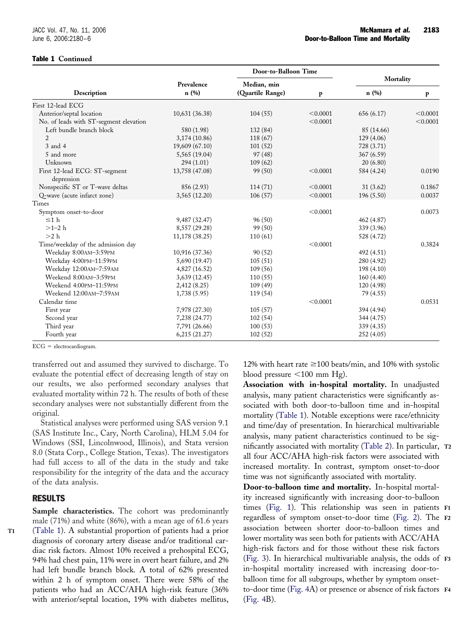#### Table 1 **Continued**

|                                             | Prevalence     | Door-to-Balloon Time |          |            |          |
|---------------------------------------------|----------------|----------------------|----------|------------|----------|
|                                             |                | Median, min          |          | Mortality  |          |
| Description                                 | n(%)           | (Quartile Range)     | p        | n(%)       | p        |
| First 12-lead ECG                           |                |                      |          |            |          |
| Anterior/septal location                    | 10,631 (36.38) | 104(55)              | < 0.0001 | 656 (6.17) | < 0.0001 |
| No. of leads with ST-segment elevation      |                |                      | < 0.0001 |            | < 0.0001 |
| Left bundle branch block                    | 580 (1.98)     | 132 (84)             |          | 85 (14.66) |          |
| 2                                           | 3,174 (10.86)  | 118(67)              |          | 129(4.06)  |          |
| 3 and 4                                     | 19,609 (67.10) | 101(52)              |          | 728 (3.71) |          |
| 5 and more                                  | 5,565 (19.04)  | 97 (48)              |          | 367 (6.59) |          |
| Unknown                                     | 294 (1.01)     | 109(62)              |          | 20(6.80)   |          |
| First 12-lead ECG: ST-segment<br>depression | 13,758 (47.08) | 99 (50)              | < 0.0001 | 584 (4.24) | 0.0190   |
| Nonspecific ST or T-wave deltas             | 856 (2.93)     | 114(71)              | < 0.0001 | 31(3.62)   | 0.1867   |
| Q-wave (acute infarct zone)                 | 3,565 (12.20)  | 106(57)              | < 0.0001 | 196 (5.50) | 0.0037   |
| Times                                       |                |                      |          |            |          |
| Symptom onset-to-door                       |                |                      | < 0.0001 |            | 0.0073   |
| $\leq 1$ h                                  | 9,487 (32.47)  | 96(50)               |          | 462 (4.87) |          |
| $>1-2$ h                                    | 8,557 (29.28)  | 99 (50)              |          | 339 (3.96) |          |
| $>2$ h                                      | 11,178 (38.25) | 110(61)              |          | 528 (4.72) |          |
| Time/weekday of the admission day           |                |                      | < 0.0001 |            | 0.3824   |
| Weekday 8:00AM-3:59PM                       | 10,916 (37.36) | 90(52)               |          | 492 (4.51) |          |
| Weekday 4:00PM-11:59PM                      | 5,690 (19.47)  | 105(51)              |          | 280 (4.92) |          |
| Weekday 12:00AM-7:59AM                      | 4,827 (16.52)  | 109(56)              |          | 198 (4.10) |          |
| Weekend 8:00AM-3:59PM                       | 3,639(12.45)   | 110(55)              |          | 160(4.40)  |          |
| Weekend 4:00PM-11:59PM                      | 2,412(8.25)    | 109(49)              |          | 120 (4.98) |          |
| Weekend 12:00AM-7:59AM                      | 1,738 (5.95)   | 119 (54)             |          | 79 (4.55)  |          |
| Calendar time                               |                |                      | < 0.0001 |            | 0.0531   |
| First year                                  | 7,978 (27.30)  | 105(57)              |          | 394 (4.94) |          |
| Second year                                 | 7,238 (24.77)  | 102(54)              |          | 344 (4.75) |          |
| Third year                                  | 7,791 (26.66)  | 100(53)              |          | 339 (4.35) |          |
| Fourth year                                 | 6,215(21.27)   | 102(52)              |          | 252 (4.05) |          |

 $ECG = electrocardiogram.$ 

transferred out and assumed they survived to discharge. To evaluate the potential effect of decreasing length of stay on our results, we also performed secondary analyses that evaluated mortality within 72 h. The results of both of these secondary analyses were not substantially different from the original.

Statistical analyses were performed using SAS version 9.1 (SAS Institute Inc., Cary, North Carolina), HLM 5.04 for Windows (SSI, Lincolnwood, Illinois), and Stata version 8.0 (Stata Corp., College Station, Texas). The investigators had full access to all of the data in the study and take responsibility for the integrity of the data and the accuracy of the data analysis.

#### RESULTS

**T1**

**Sample characteristics.** The cohort was predominantly male (71%) and white (86%), with a mean age of 61.6 years [\(Table 1\)](#page-2-0). A substantial proportion of patients had a prior diagnosis of coronary artery disease and/or traditional cardiac risk factors. Almost 10% received a prehospital ECG, 94% had chest pain, 11% were in overt heart failure, and 2% had left bundle branch block. A total of 62% presented within 2 h of symptom onset. There were 58% of the patients who had an ACC/AHA high-risk feature (36% with anterior/septal location, 19% with diabetes mellitus, 12% with heart rate  $\geq$ 100 beats/min, and 10% with systolic blood pressure  $\leq 100$  mm Hg).

**Association with in-hospital mortality.** In unadjusted analysis, many patient characteristics were significantly associated with both door-to-balloon time and in-hospital mortality [\(Table 1\)](#page-2-0). Notable exceptions were race/ethnicity and time/day of presentation. In hierarchical multivariable analysis, many patient characteristics continued to be significantly associated with mortality [\(Table 2\)](#page-4-0). In particular, **T2** all four ACC/AHA high-risk factors were associated with increased mortality. In contrast, symptom onset-to-door time was not significantly associated with mortality.

**Door-to-balloon time and mortality.** In-hospital mortality increased significantly with increasing door-to-balloon times [\(Fig. 1\)](#page-4-0). This relationship was seen in patients **F1** regardless of symptom onset-to-door time [\(Fig. 2\)](#page-4-0). The **F2** association between shorter door-to-balloon times and lower mortality was seen both for patients with ACC/AHA high-risk factors and for those without these risk factors [\(Fig. 3\)](#page-5-0). In hierarchical multivariable analysis, the odds of **F3** in-hospital mortality increased with increasing door-toballoon time for all subgroups, whether by symptom onsetto-door time [\(Fig. 4A](#page-5-0)) or presence or absence of risk factors **F4**[\(Fig. 4B](#page-5-0)).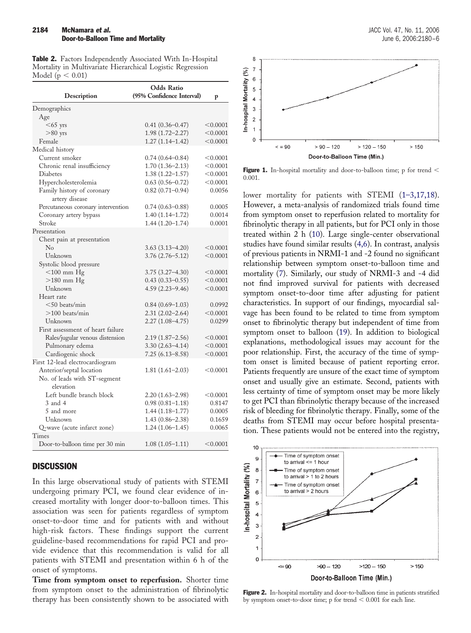#### <span id="page-4-0"></span>**2184 McNamara et al. McNamara et al. McNamara et al. McNamara et al. JACC Vol. 47, No. 11, 2006 Door-to-Balloon Time and Mortality June 6, 2006:2180-6 June 6, 2006:2180-6**

Table 2. Factors Independently Associated With In-Hospital Mortality in Multivariate Hierarchical Logistic Regression Model ( $p < 0.01$ )

| Description                                  | <b>Odds Ratio</b><br>(95% Confidence Interval) | p             |
|----------------------------------------------|------------------------------------------------|---------------|
| Demographics                                 |                                                |               |
| Age                                          |                                                |               |
| $<$ 65 yrs                                   | $0.41(0.36 - 0.47)$                            | $<$ 0.0001    |
| $>80$ yrs                                    | 1.98 (1.72-2.27)                               | < 0.0001      |
| Female                                       | 1.27 (1.14–1.42)                               | < 0.0001      |
| Medical history                              |                                                |               |
| Current smoker                               | $0.74(0.64 - 0.84)$                            | $< \, 0.0001$ |
| Chronic renal insufficiency                  | $1.70(1.36 - 2.13)$                            | $<$ 0.0001    |
| Diabetes                                     | $1.38(1.22 - 1.57)$                            | < 0.0001      |
| Hypercholesterolemia                         | $0.63(0.56 - 0.72)$                            | < 0.0001      |
| Family history of coronary<br>artery disease | $0.82(0.71 - 0.94)$                            | 0.0056        |
| Percutaneous coronary intervention           | $0.74(0.63 - 0.88)$                            | 0.0005        |
| Coronary artery bypass                       | $1.40(1.14 - 1.72)$                            | 0.0014        |
| Stroke                                       | $1.44(1.20-1.74)$                              | 0.0001        |
| Presentation                                 |                                                |               |
| Chest pain at presentation                   |                                                |               |
| No                                           | $3.63(3.13 - 4.20)$                            | < 0.0001      |
| Unknown                                      | $3.76(2.76 - 5.12)$                            | < 0.0001      |
| Systolic blood pressure                      |                                                |               |
| $<$ 100 mm Hg                                | $3.75(3.27 - 4.30)$                            | $<$ 0.0001    |
| $>180$ mm Hg                                 | $0.43(0.33 - 0.55)$                            | < 0.0001      |
| Unknown                                      | $4.59(2.23 - 9.46)$                            | < 0.0001      |
| Heart rate                                   |                                                |               |
| $<$ 50 beats/min                             | $0.84(0.69-1.03)$                              | 0.0992        |
| $>100$ beats/min                             | $2.31(2.02 - 2.64)$                            | < 0.0001      |
| Unknown                                      | 2.27 (1.08–4.75)                               | 0.0299        |
| First assessment of heart failure            |                                                |               |
| Rales/jugular venous distension              | 2.19 (1.87–2.56)                               | < 0.0001      |
| Pulmonary edema                              | $3.30(2.63 - 4.14)$                            | < 0.0001      |
| Cardiogenic shock                            | $7.25(6.13 - 8.58)$                            | < 0.0001      |
| First 12-lead electrocardiogram              |                                                |               |
| Anterior/septal location                     | $1.81(1.61-2.03)$                              | < 0.0001      |
| No. of leads with ST-segment                 |                                                |               |
| elevation                                    |                                                |               |
| Left bundle branch block                     | 2.20 (1.63–2.98)                               | < 0.0001      |
| 3 and 4                                      | $0.98(0.81 - 1.18)$                            | 0.8147        |
| 5 and more                                   | 1.44 (1.18–1.77)                               | 0.0005        |
| Unknown                                      | 1.43 (0.86-2.38)                               | 0.1659        |
| Q-wave (acute infarct zone)                  | $1.24(1.06-1.45)$                              | 0.0065        |
| Times                                        |                                                |               |
| Door-to-balloon time per 30 min              | $1.08(1.05-1.11)$                              | < 0.0001      |

#### **DISCUSSION**

In this large observational study of patients with STEMI undergoing primary PCI, we found clear evidence of increased mortality with longer door-to-balloon times. This association was seen for patients regardless of symptom onset-to-door time and for patients with and without high-risk factors. These findings support the current guideline-based recommendations for rapid PCI and provide evidence that this recommendation is valid for all patients with STEMI and presentation within 6 h of the onset of symptoms.

**Time from symptom onset to reperfusion.** Shorter time from symptom onset to the administration of fibrinolytic therapy has been consistently shown to be associated with



Figure 1. In-hospital mortality and door-to-balloon time; p for trend  $\leq$ 0.001.

lower mortality for patients with STEMI [\(1–3,17,18\)](#page-6-0). However, a meta-analysis of randomized trials found time from symptom onset to reperfusion related to mortality for fibrinolytic therapy in all patients, but for PCI only in those treated within 2 h [\(10\)](#page-6-0). Large single-center observational studies have found similar results [\(4,6\)](#page-6-0). In contrast, analysis of previous patients in NRMI-1 and -2 found no significant relationship between symptom onset-to-balloon time and mortality [\(7\)](#page-6-0). Similarly, our study of NRMI-3 and -4 did not find improved survival for patients with decreased symptom onset-to-door time after adjusting for patient characteristics. In support of our findings, myocardial salvage has been found to be related to time from symptom onset to fibrinolytic therapy but independent of time from symptom onset to balloon [\(19\)](#page-6-0). In addition to biological explanations, methodological issues may account for the poor relationship. First, the accuracy of the time of symptom onset is limited because of patient reporting error. Patients frequently are unsure of the exact time of symptom onset and usually give an estimate. Second, patients with less certainty of time of symptom onset may be more likely to get PCI than fibrinolytic therapy because of the increased risk of bleeding for fibrinolytic therapy. Finally, some of the deaths from STEMI may occur before hospital presentation. These patients would not be entered into the registry,



Figure 2. In-hospital mortality and door-to-balloon time in patients stratified by symptom onset-to-door time;  $p$  for trend  $\leq 0.001$  for each line.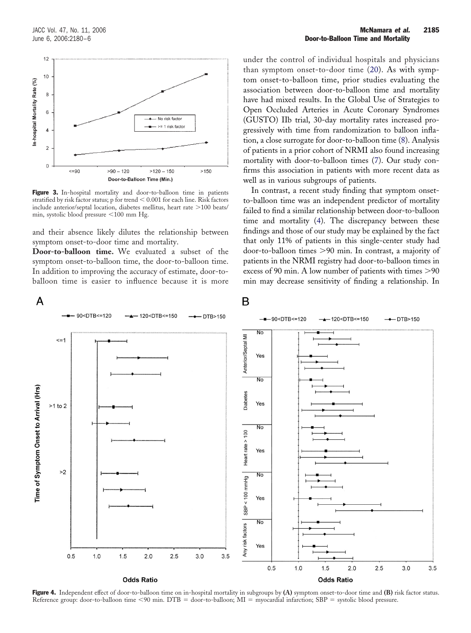

Figure 3. In-hospital mortality and door-to-balloon time in patients stratified by risk factor status; p for trend  $<$  0.001 for each line. Risk factors include anterior/septal location, diabetes mellitus, heart rate  $>$  100 beats/ min, systolic blood pressure <100 mm Hg.

and their absence likely dilutes the relationship between symptom onset-to-door time and mortality.

**Door-to-balloon time.** We evaluated a subset of the symptom onset-to-balloon time, the door-to-balloon time. In addition to improving the accuracy of estimate, door-toballoon time is easier to influence because it is more

<span id="page-5-0"></span>JACC Vol. 47, No. 11, 2006 **McNamara et al. 2185** McNamara et al. 2185 June 6, 2006:2180 –6 Door-to-Balloon Time and Mortality

> under the control of individual hospitals and physicians than symptom onset-to-door time [\(20\)](#page-6-0). As with symptom onset-to-balloon time, prior studies evaluating the association between door-to-balloon time and mortality have had mixed results. In the Global Use of Strategies to Open Occluded Arteries in Acute Coronary Syndromes (GUSTO) IIb trial, 30-day mortality rates increased progressively with time from randomization to balloon inflation, a close surrogate for door-to-balloon time [\(8\)](#page-6-0). Analysis of patients in a prior cohort of NRMI also found increasing mortality with door-to-balloon times [\(7\)](#page-6-0). Our study confirms this association in patients with more recent data as well as in various subgroups of patients.

> In contrast, a recent study finding that symptom onsetto-balloon time was an independent predictor of mortality failed to find a similar relationship between door-to-balloon time and mortality [\(4\)](#page-6-0). The discrepancy between these findings and those of our study may be explained by the fact that only 11% of patients in this single-center study had door-to-balloon times 90 min. In contrast, a majority of patients in the NRMI registry had door-to-balloon times in excess of 90 min. A low number of patients with times  $>$ 90 min may decrease sensitivity of finding a relationship. In

B



Figure 4. Independent effect of door-to-balloon time on in-hospital mortality in subgroups by **(A)** symptom onset-to-door time and **(B)** risk factor status. Reference group: door-to-balloon time <90 min. DTB = door-to-balloon; MI = myocardial infarction; SBP = systolic blood pressure.